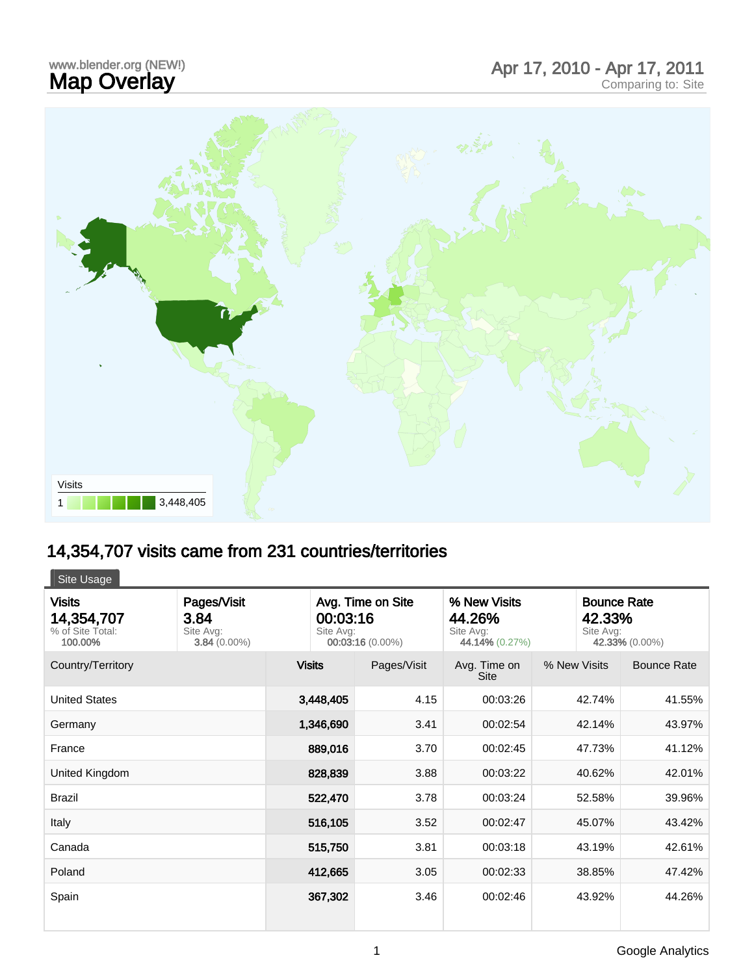## www.blender.org (NEW!)

## www.blender.org (NEW!) and the comparing to the Map Overlay and Map Overlay and Map Overlay comparing to: Site



## 14,354,707 visits came from 231 countries/territories

| Site Usage                                                 |                                                    |                                                                |             |                                                       |              |                                                             |  |  |
|------------------------------------------------------------|----------------------------------------------------|----------------------------------------------------------------|-------------|-------------------------------------------------------|--------------|-------------------------------------------------------------|--|--|
| <b>Visits</b><br>14,354,707<br>% of Site Total:<br>100.00% | Pages/Visit<br>3.84<br>Site Avg:<br>$3.84(0.00\%)$ | Avg. Time on Site<br>00:03:16<br>Site Avg:<br>00:03:16 (0.00%) |             | % New Visits<br>44.26%<br>Site Avg:<br>44.14% (0.27%) |              | <b>Bounce Rate</b><br>42.33%<br>Site Avg:<br>42.33% (0.00%) |  |  |
| Country/Territory                                          |                                                    | <b>Visits</b>                                                  | Pages/Visit | Avg. Time on<br><b>Site</b>                           | % New Visits | <b>Bounce Rate</b>                                          |  |  |
| <b>United States</b>                                       |                                                    | 3,448,405                                                      | 4.15        | 00:03:26                                              | 42.74%       | 41.55%                                                      |  |  |
| Germany                                                    |                                                    | 1,346,690                                                      | 3.41        | 00:02:54                                              | 42.14%       | 43.97%                                                      |  |  |
| France                                                     |                                                    | 889,016                                                        | 3.70        | 00:02:45                                              | 47.73%       | 41.12%                                                      |  |  |
| United Kingdom                                             |                                                    | 828,839                                                        | 3.88        | 00:03:22                                              | 40.62%       | 42.01%                                                      |  |  |
| <b>Brazil</b>                                              |                                                    | 522,470                                                        | 3.78        | 00:03:24                                              | 52.58%       | 39.96%                                                      |  |  |
| Italy                                                      |                                                    | 516,105                                                        | 3.52        | 00:02:47                                              | 45.07%       | 43.42%                                                      |  |  |
| Canada                                                     |                                                    | 515,750                                                        | 3.81        | 00:03:18                                              | 43.19%       | 42.61%                                                      |  |  |
| Poland                                                     |                                                    | 412,665                                                        | 3.05        | 00:02:33                                              | 38.85%       | 47.42%                                                      |  |  |
| Spain                                                      |                                                    | 367,302                                                        | 3.46        | 00:02:46                                              | 43.92%       | 44.26%                                                      |  |  |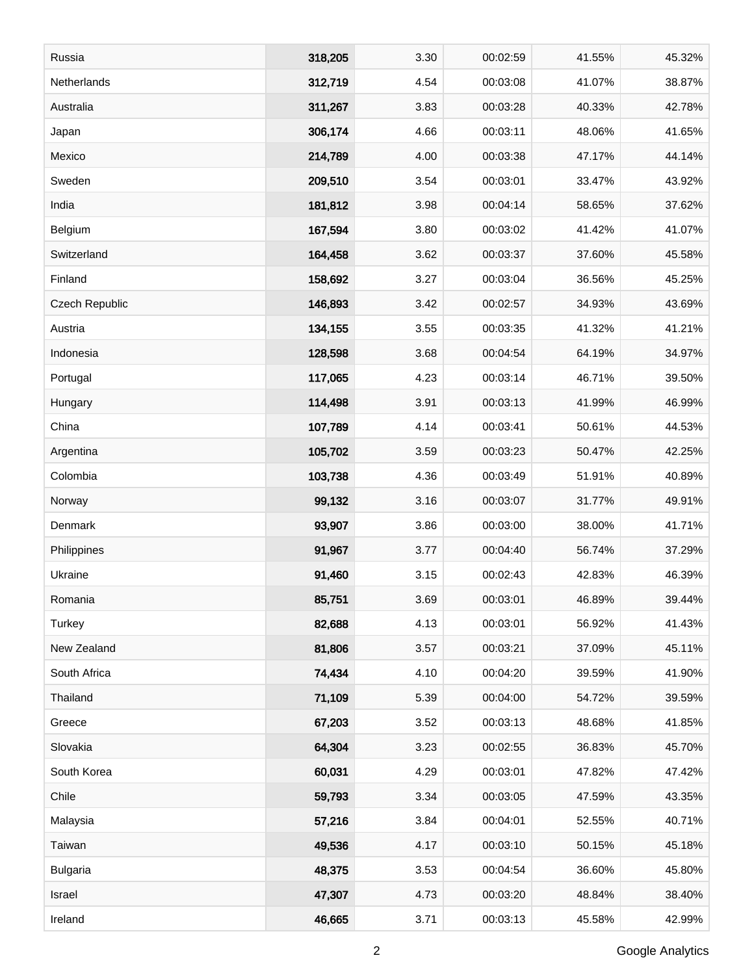| Russia          | 318,205 | 3.30 | 00:02:59 | 41.55% | 45.32% |
|-----------------|---------|------|----------|--------|--------|
| Netherlands     | 312,719 | 4.54 | 00:03:08 | 41.07% | 38.87% |
| Australia       | 311,267 | 3.83 | 00:03:28 | 40.33% | 42.78% |
| Japan           | 306,174 | 4.66 | 00:03:11 | 48.06% | 41.65% |
| Mexico          | 214,789 | 4.00 | 00:03:38 | 47.17% | 44.14% |
| Sweden          | 209,510 | 3.54 | 00:03:01 | 33.47% | 43.92% |
| India           | 181,812 | 3.98 | 00:04:14 | 58.65% | 37.62% |
| Belgium         | 167,594 | 3.80 | 00:03:02 | 41.42% | 41.07% |
| Switzerland     | 164,458 | 3.62 | 00:03:37 | 37.60% | 45.58% |
| Finland         | 158,692 | 3.27 | 00:03:04 | 36.56% | 45.25% |
| Czech Republic  | 146,893 | 3.42 | 00:02:57 | 34.93% | 43.69% |
| Austria         | 134,155 | 3.55 | 00:03:35 | 41.32% | 41.21% |
| Indonesia       | 128,598 | 3.68 | 00:04:54 | 64.19% | 34.97% |
| Portugal        | 117,065 | 4.23 | 00:03:14 | 46.71% | 39.50% |
| Hungary         | 114,498 | 3.91 | 00:03:13 | 41.99% | 46.99% |
| China           | 107,789 | 4.14 | 00:03:41 | 50.61% | 44.53% |
| Argentina       | 105,702 | 3.59 | 00:03:23 | 50.47% | 42.25% |
| Colombia        | 103,738 | 4.36 | 00:03:49 | 51.91% | 40.89% |
| Norway          | 99,132  | 3.16 | 00:03:07 | 31.77% | 49.91% |
| Denmark         | 93,907  | 3.86 | 00:03:00 | 38.00% | 41.71% |
| Philippines     | 91,967  | 3.77 | 00:04:40 | 56.74% | 37.29% |
| Ukraine         | 91,460  | 3.15 | 00:02:43 | 42.83% | 46.39% |
| Romania         | 85,751  | 3.69 | 00:03:01 | 46.89% | 39.44% |
| Turkey          | 82,688  | 4.13 | 00:03:01 | 56.92% | 41.43% |
| New Zealand     | 81,806  | 3.57 | 00:03:21 | 37.09% | 45.11% |
| South Africa    | 74,434  | 4.10 | 00:04:20 | 39.59% | 41.90% |
| Thailand        | 71,109  | 5.39 | 00:04:00 | 54.72% | 39.59% |
| Greece          | 67,203  | 3.52 | 00:03:13 | 48.68% | 41.85% |
| Slovakia        | 64,304  | 3.23 | 00:02:55 | 36.83% | 45.70% |
| South Korea     | 60,031  | 4.29 | 00:03:01 | 47.82% | 47.42% |
| Chile           | 59,793  | 3.34 | 00:03:05 | 47.59% | 43.35% |
| Malaysia        | 57,216  | 3.84 | 00:04:01 | 52.55% | 40.71% |
| Taiwan          | 49,536  | 4.17 | 00:03:10 | 50.15% | 45.18% |
| <b>Bulgaria</b> | 48,375  | 3.53 | 00:04:54 | 36.60% | 45.80% |
| Israel          | 47,307  | 4.73 | 00:03:20 | 48.84% | 38.40% |
| Ireland         | 46,665  | 3.71 | 00:03:13 | 45.58% | 42.99% |